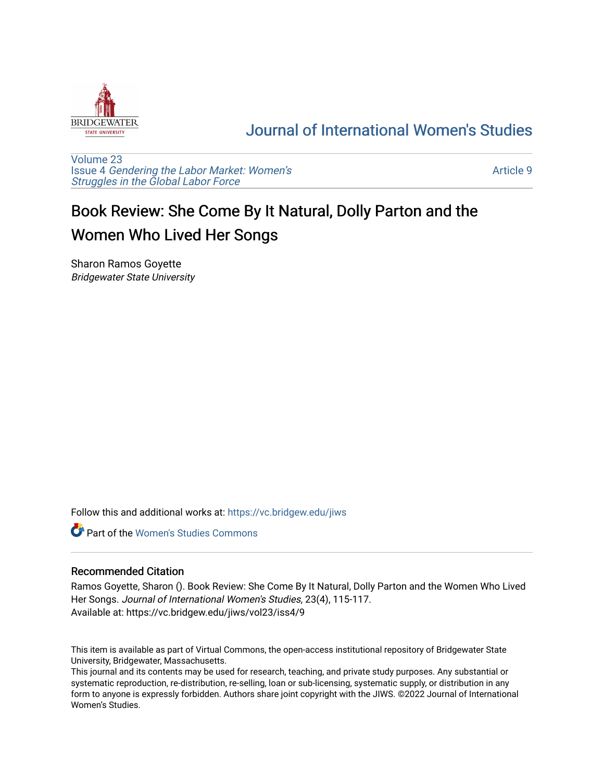

## [Journal of International Women's Studies](https://vc.bridgew.edu/jiws)

[Volume 23](https://vc.bridgew.edu/jiws/vol23) Issue 4 [Gendering the Labor Market: Women's](https://vc.bridgew.edu/jiws/vol23/iss4) [Struggles in the Global Labor Force](https://vc.bridgew.edu/jiws/vol23/iss4)

[Article 9](https://vc.bridgew.edu/jiws/vol23/iss4/9) 

## Book Review: She Come By It Natural, Dolly Parton and the Women Who Lived Her Songs

Sharon Ramos Goyette Bridgewater State University

Follow this and additional works at: [https://vc.bridgew.edu/jiws](https://vc.bridgew.edu/jiws?utm_source=vc.bridgew.edu%2Fjiws%2Fvol23%2Fiss4%2F9&utm_medium=PDF&utm_campaign=PDFCoverPages)

**C** Part of the Women's Studies Commons

## Recommended Citation

Ramos Goyette, Sharon (). Book Review: She Come By It Natural, Dolly Parton and the Women Who Lived Her Songs. Journal of International Women's Studies, 23(4), 115-117. Available at: https://vc.bridgew.edu/jiws/vol23/iss4/9

This item is available as part of Virtual Commons, the open-access institutional repository of Bridgewater State University, Bridgewater, Massachusetts.

This journal and its contents may be used for research, teaching, and private study purposes. Any substantial or systematic reproduction, re-distribution, re-selling, loan or sub-licensing, systematic supply, or distribution in any form to anyone is expressly forbidden. Authors share joint copyright with the JIWS. ©2022 Journal of International Women's Studies.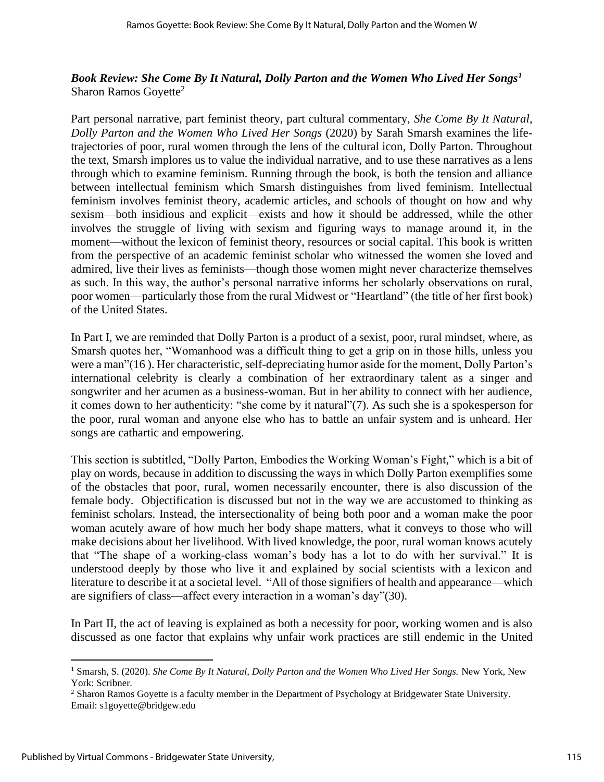## *Book Review: She Come By It Natural, Dolly Parton and the Women Who Lived Her Songs<sup>1</sup>* Sharon Ramos Goyette<sup>2</sup>

Part personal narrative, part feminist theory, part cultural commentary, *She Come By It Natural*, *Dolly Parton and the Women Who Lived Her Songs* (2020) by Sarah Smarsh examines the lifetrajectories of poor, rural women through the lens of the cultural icon, Dolly Parton. Throughout the text, Smarsh implores us to value the individual narrative, and to use these narratives as a lens through which to examine feminism. Running through the book, is both the tension and alliance between intellectual feminism which Smarsh distinguishes from lived feminism. Intellectual feminism involves feminist theory, academic articles, and schools of thought on how and why sexism—both insidious and explicit—exists and how it should be addressed, while the other involves the struggle of living with sexism and figuring ways to manage around it, in the moment—without the lexicon of feminist theory, resources or social capital. This book is written from the perspective of an academic feminist scholar who witnessed the women she loved and admired, live their lives as feminists—though those women might never characterize themselves as such. In this way, the author's personal narrative informs her scholarly observations on rural, poor women—particularly those from the rural Midwest or "Heartland" (the title of her first book) of the United States.

In Part I, we are reminded that Dolly Parton is a product of a sexist, poor, rural mindset, where, as Smarsh quotes her, "Womanhood was a difficult thing to get a grip on in those hills, unless you were a man"(16 ). Her characteristic, self-depreciating humor aside for the moment, Dolly Parton's international celebrity is clearly a combination of her extraordinary talent as a singer and songwriter and her acumen as a business-woman. But in her ability to connect with her audience, it comes down to her authenticity: "she come by it natural"(7). As such she is a spokesperson for the poor, rural woman and anyone else who has to battle an unfair system and is unheard. Her songs are cathartic and empowering.

This section is subtitled, "Dolly Parton, Embodies the Working Woman's Fight," which is a bit of play on words, because in addition to discussing the ways in which Dolly Parton exemplifies some of the obstacles that poor, rural, women necessarily encounter, there is also discussion of the female body. Objectification is discussed but not in the way we are accustomed to thinking as feminist scholars. Instead, the intersectionality of being both poor and a woman make the poor woman acutely aware of how much her body shape matters, what it conveys to those who will make decisions about her livelihood. With lived knowledge, the poor, rural woman knows acutely that "The shape of a working-class woman's body has a lot to do with her survival." It is understood deeply by those who live it and explained by social scientists with a lexicon and literature to describe it at a societal level. "All of those signifiers of health and appearance—which are signifiers of class—affect every interaction in a woman's day"(30).

In Part II, the act of leaving is explained as both a necessity for poor, working women and is also discussed as one factor that explains why unfair work practices are still endemic in the United

<sup>1</sup> Smarsh, S. (2020). *She Come By It Natural, Dolly Parton and the Women Who Lived Her Songs.* New York, New York: Scribner.

<sup>&</sup>lt;sup>2</sup> Sharon Ramos Goyette is a faculty member in the Department of Psychology at Bridgewater State University. Email: s1goyette@bridgew.edu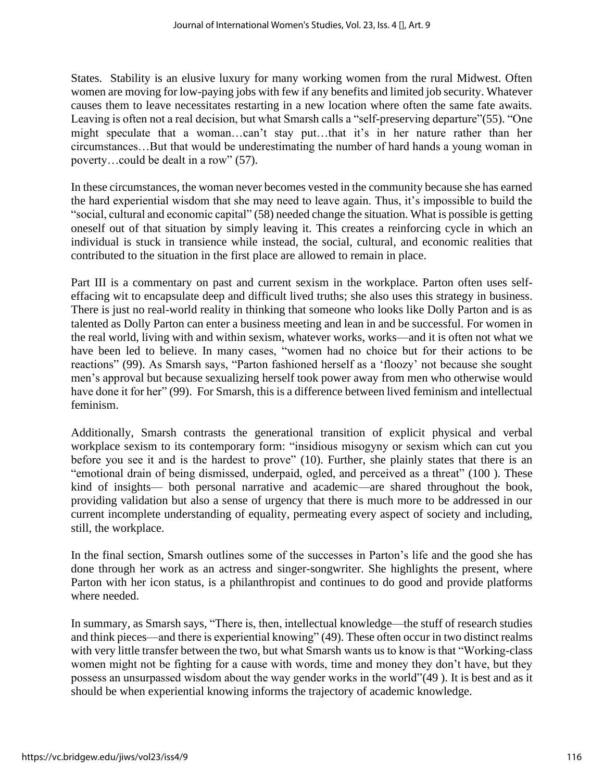States. Stability is an elusive luxury for many working women from the rural Midwest. Often women are moving for low-paying jobs with few if any benefits and limited job security. Whatever causes them to leave necessitates restarting in a new location where often the same fate awaits. Leaving is often not a real decision, but what Smarsh calls a "self-preserving departure"(55). "One might speculate that a woman…can't stay put…that it's in her nature rather than her circumstances…But that would be underestimating the number of hard hands a young woman in poverty…could be dealt in a row" (57).

In these circumstances, the woman never becomes vested in the community because she has earned the hard experiential wisdom that she may need to leave again. Thus, it's impossible to build the "social, cultural and economic capital" (58) needed change the situation. What is possible is getting oneself out of that situation by simply leaving it. This creates a reinforcing cycle in which an individual is stuck in transience while instead, the social, cultural, and economic realities that contributed to the situation in the first place are allowed to remain in place.

Part III is a commentary on past and current sexism in the workplace. Parton often uses selfeffacing wit to encapsulate deep and difficult lived truths; she also uses this strategy in business. There is just no real-world reality in thinking that someone who looks like Dolly Parton and is as talented as Dolly Parton can enter a business meeting and lean in and be successful. For women in the real world, living with and within sexism, whatever works, works—and it is often not what we have been led to believe. In many cases, "women had no choice but for their actions to be reactions" (99). As Smarsh says, "Parton fashioned herself as a 'floozy' not because she sought men's approval but because sexualizing herself took power away from men who otherwise would have done it for her" (99). For Smarsh, this is a difference between lived feminism and intellectual feminism.

Additionally, Smarsh contrasts the generational transition of explicit physical and verbal workplace sexism to its contemporary form: "insidious misogyny or sexism which can cut you before you see it and is the hardest to prove" (10). Further, she plainly states that there is an "emotional drain of being dismissed, underpaid, ogled, and perceived as a threat" (100 ). These kind of insights— both personal narrative and academic—are shared throughout the book, providing validation but also a sense of urgency that there is much more to be addressed in our current incomplete understanding of equality, permeating every aspect of society and including, still, the workplace.

In the final section, Smarsh outlines some of the successes in Parton's life and the good she has done through her work as an actress and singer-songwriter. She highlights the present, where Parton with her icon status, is a philanthropist and continues to do good and provide platforms where needed.

In summary, as Smarsh says, "There is, then, intellectual knowledge—the stuff of research studies and think pieces—and there is experiential knowing" (49). These often occur in two distinct realms with very little transfer between the two, but what Smarsh wants us to know is that "Working-class women might not be fighting for a cause with words, time and money they don't have, but they possess an unsurpassed wisdom about the way gender works in the world"(49 ). It is best and as it should be when experiential knowing informs the trajectory of academic knowledge.